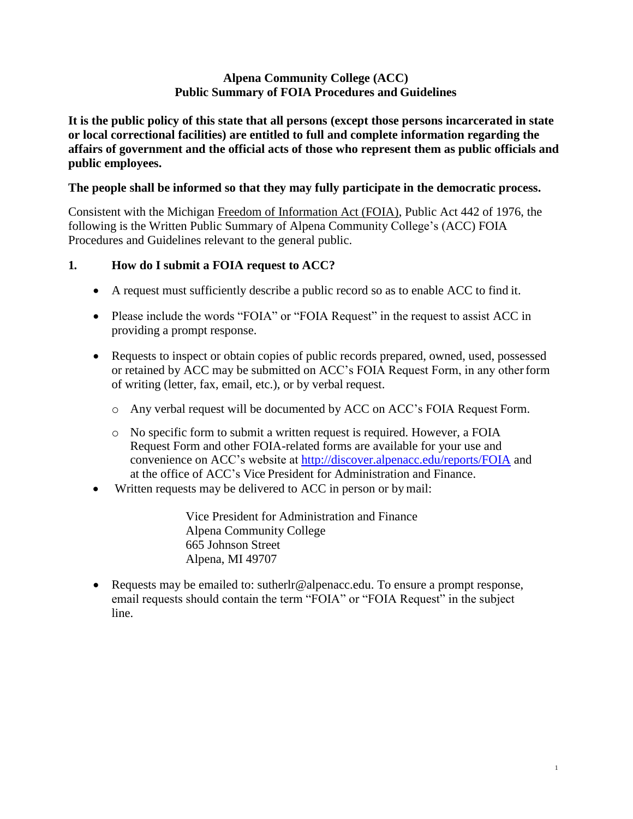#### **Alpena Community College (ACC) Public Summary of FOIA Procedures and Guidelines**

**It is the public policy of this state that all persons (except those persons incarcerated in state or local correctional facilities) are entitled to full and complete information regarding the affairs of government and the official acts of those who represent them as public officials and public employees.**

### **The people shall be informed so that they may fully participate in the democratic process.**

Consistent with the Michigan Freedom of Information Act (FOIA), Public Act 442 of 1976, the following is the Written Public Summary of Alpena Community College's (ACC) FOIA Procedures and Guidelines relevant to the general public.

#### **1. How do I submit a FOIA request to ACC?**

- A request must sufficiently describe a public record so as to enable ACC to find it.
- Please include the words "FOIA" or "FOIA Request" in the request to assist ACC in providing a prompt response.
- Requests to inspect or obtain copies of public records prepared, owned, used, possessed or retained by ACC may be submitted on ACC's FOIA Request Form, in any otherform of writing (letter, fax, email, etc.), or by verbal request.
	- o Any verbal request will be documented by ACC on ACC's FOIA Request Form.
	- o No specific form to submit a written request is required. However, a FOIA Request Form and other FOIA-related forms are available for your use and convenience on ACC's website at<http://discover.alpenacc.edu/reports/FOIA> and at the office of ACC's Vice President for Administration and Finance.
- Written requests may be delivered to ACC in person or by mail:

Vice President for Administration and Finance Alpena Community College 665 Johnson Street Alpena, MI 49707

 Requests may be emailed [to: sutherlr@alpenacc.edu.](mailto:hgorton@nmc.edu) To ensure a prompt response, email requests should contain the term "FOIA" or "FOIA Request" in the subject line.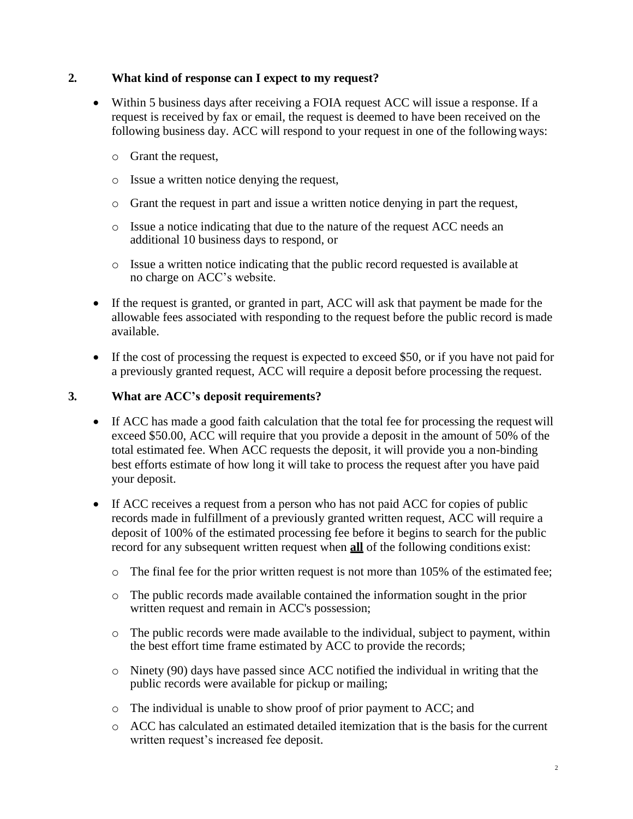#### **2. What kind of response can I expect to my request?**

- Within 5 business days after receiving a FOIA request ACC will issue a response. If a request is received by fax or email, the request is deemed to have been received on the following business day. ACC will respond to your request in one of the following ways:
	- o Grant the request,
	- o Issue a written notice denying the request,
	- o Grant the request in part and issue a written notice denying in part the request,
	- o Issue a notice indicating that due to the nature of the request ACC needs an additional 10 business days to respond, or
	- o Issue a written notice indicating that the public record requested is available at no charge on ACC's website.
- If the request is granted, or granted in part, ACC will ask that payment be made for the allowable fees associated with responding to the request before the public record is made available.
- If the cost of processing the request is expected to exceed \$50, or if you have not paid for a previously granted request, ACC will require a deposit before processing the request.

#### **3. What are ACC's deposit requirements?**

- If ACC has made a good faith calculation that the total fee for processing the request will exceed \$50.00, ACC will require that you provide a deposit in the amount of 50% of the total estimated fee. When ACC requests the deposit, it will provide you a non-binding best efforts estimate of how long it will take to process the request after you have paid your deposit.
- If ACC receives a request from a person who has not paid ACC for copies of public records made in fulfillment of a previously granted written request, ACC will require a deposit of 100% of the estimated processing fee before it begins to search for the public record for any subsequent written request when **all** of the following conditions exist:
	- $\circ$  The final fee for the prior written request is not more than 105% of the estimated fee;
	- o The public records made available contained the information sought in the prior written request and remain in ACC's possession;
	- $\circ$  The public records were made available to the individual, subject to payment, within the best effort time frame estimated by ACC to provide the records;
	- o Ninety (90) days have passed since ACC notified the individual in writing that the public records were available for pickup or mailing;
	- o The individual is unable to show proof of prior payment to ACC; and
	- o ACC has calculated an estimated detailed itemization that is the basis for the current written request's increased fee deposit.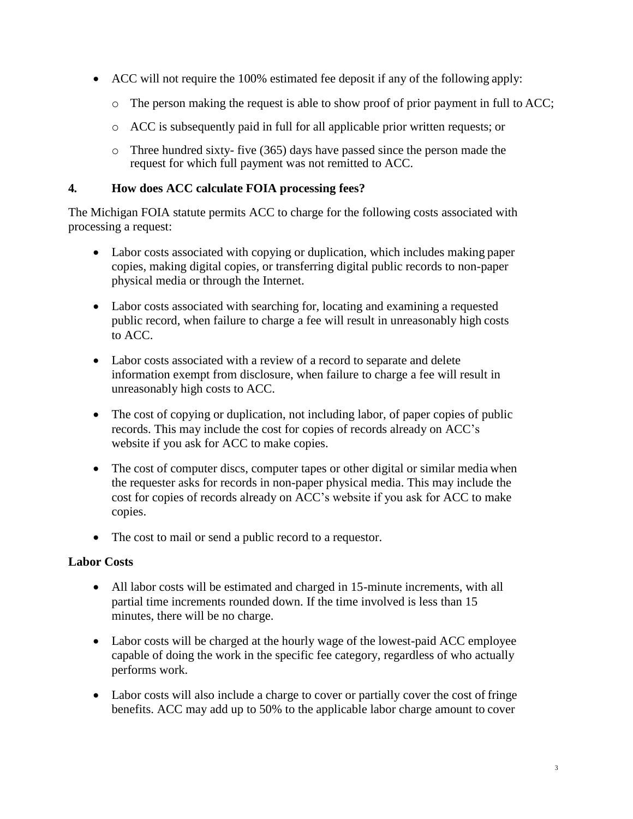- ACC will not require the 100% estimated fee deposit if any of the following apply:
	- o The person making the request is able to show proof of prior payment in full to ACC;
	- o ACC is subsequently paid in full for all applicable prior written requests; or
	- o Three hundred sixty- five (365) days have passed since the person made the request for which full payment was not remitted to ACC.

### **4. How does ACC calculate FOIA processing fees?**

The Michigan FOIA statute permits ACC to charge for the following costs associated with processing a request:

- Labor costs associated with copying or duplication, which includes making paper copies, making digital copies, or transferring digital public records to non-paper physical media or through the Internet.
- Labor costs associated with searching for, locating and examining a requested public record, when failure to charge a fee will result in unreasonably high costs to ACC.
- Labor costs associated with a review of a record to separate and delete information exempt from disclosure, when failure to charge a fee will result in unreasonably high costs to ACC.
- The cost of copying or duplication, not including labor, of paper copies of public records. This may include the cost for copies of records already on ACC's website if you ask for ACC to make copies.
- The cost of computer discs, computer tapes or other digital or similar media when the requester asks for records in non-paper physical media. This may include the cost for copies of records already on ACC's website if you ask for ACC to make copies.
- The cost to mail or send a public record to a requestor.

### **Labor Costs**

- All labor costs will be estimated and charged in 15-minute increments, with all partial time increments rounded down. If the time involved is less than 15 minutes, there will be no charge.
- Labor costs will be charged at the hourly wage of the lowest-paid ACC employee capable of doing the work in the specific fee category, regardless of who actually performs work.
- Labor costs will also include a charge to cover or partially cover the cost of fringe benefits. ACC may add up to 50% to the applicable labor charge amount to cover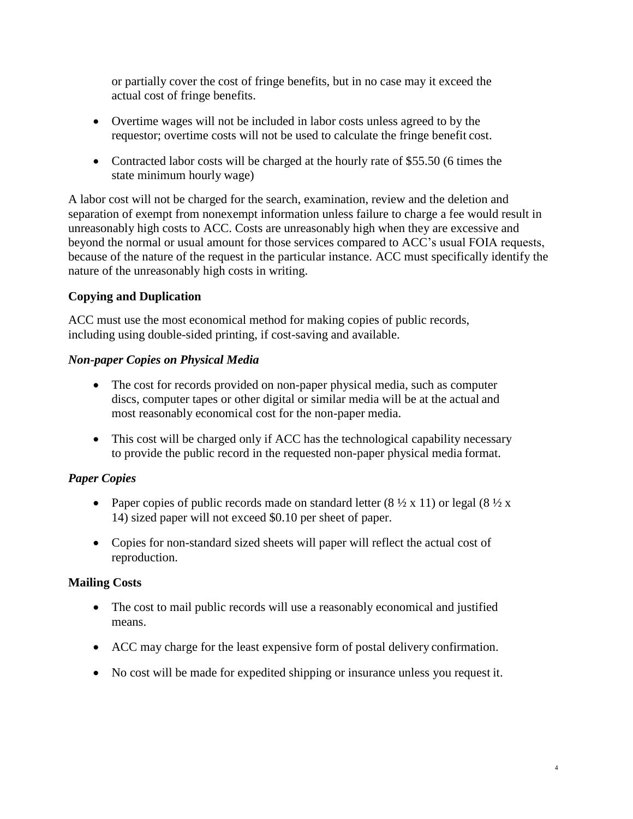or partially cover the cost of fringe benefits, but in no case may it exceed the actual cost of fringe benefits.

- Overtime wages will not be included in labor costs unless agreed to by the requestor; overtime costs will not be used to calculate the fringe benefit cost.
- Contracted labor costs will be charged at the hourly rate of \$55.50 (6 times the state minimum hourly wage)

A labor cost will not be charged for the search, examination, review and the deletion and separation of exempt from nonexempt information unless failure to charge a fee would result in unreasonably high costs to ACC. Costs are unreasonably high when they are excessive and beyond the normal or usual amount for those services compared to ACC's usual FOIA requests, because of the nature of the request in the particular instance. ACC must specifically identify the nature of the unreasonably high costs in writing.

## **Copying and Duplication**

ACC must use the most economical method for making copies of public records, including using double-sided printing, if cost-saving and available.

### *Non-paper Copies on Physical Media*

- The cost for records provided on non-paper physical media, such as computer discs, computer tapes or other digital or similar media will be at the actual and most reasonably economical cost for the non-paper media.
- This cost will be charged only if ACC has the technological capability necessary to provide the public record in the requested non-paper physical media format.

# *Paper Copies*

- Paper copies of public records made on standard letter  $(8 \frac{1}{2} \times 11)$  or legal  $(8 \frac{1}{2} \times$ 14) sized paper will not exceed \$0.10 per sheet of paper.
- Copies for non-standard sized sheets will paper will reflect the actual cost of reproduction.

### **Mailing Costs**

- The cost to mail public records will use a reasonably economical and justified means.
- ACC may charge for the least expensive form of postal delivery confirmation.
- No cost will be made for expedited shipping or insurance unless you request it.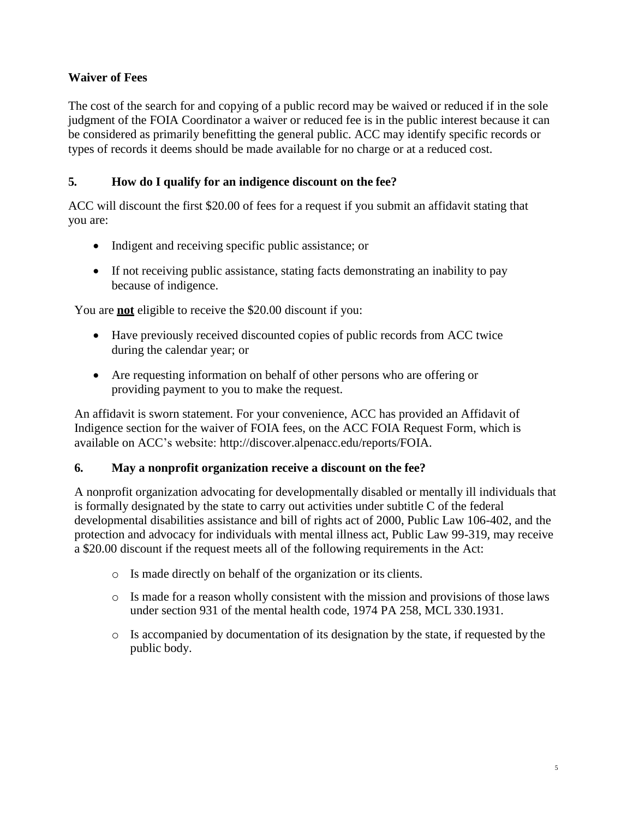### **Waiver of Fees**

The cost of the search for and copying of a public record may be waived or reduced if in the sole judgment of the FOIA Coordinator a waiver or reduced fee is in the public interest because it can be considered as primarily benefitting the general public. ACC may identify specific records or types of records it deems should be made available for no charge or at a reduced cost.

### **5. How do I qualify for an indigence discount on the fee?**

ACC will discount the first \$20.00 of fees for a request if you submit an affidavit stating that you are:

- Indigent and receiving specific public assistance; or
- If not receiving public assistance, stating facts demonstrating an inability to pay because of indigence.

You are **not** eligible to receive the \$20.00 discount if you:

- Have previously received discounted copies of public records from ACC twice during the calendar year; or
- Are requesting information on behalf of other persons who are offering or providing payment to you to make the request.

An affidavit is sworn statement. For your convenience, ACC has provided an Affidavit of Indigence section for the waiver of FOIA fees, on the ACC FOIA Request Form, which is available on ACC's website: http://discover.alpenacc.edu/reports/FOIA.

### **6. May a nonprofit organization receive a discount on the fee?**

A nonprofit organization advocating for developmentally disabled or mentally ill individuals that is formally designated by the state to carry out activities under subtitle C of the federal developmental disabilities assistance and bill of rights act of 2000, Public Law 106-402, and the protection and advocacy for individuals with mental illness act, Public Law 99-319, may receive a \$20.00 discount if the request meets all of the following requirements in the Act:

- o Is made directly on behalf of the organization or its clients.
- o Is made for a reason wholly consistent with the mission and provisions of those laws under section 931 of the mental health code, 1974 PA 258, MCL 330.1931.
- o Is accompanied by documentation of its designation by the state, if requested by the public body.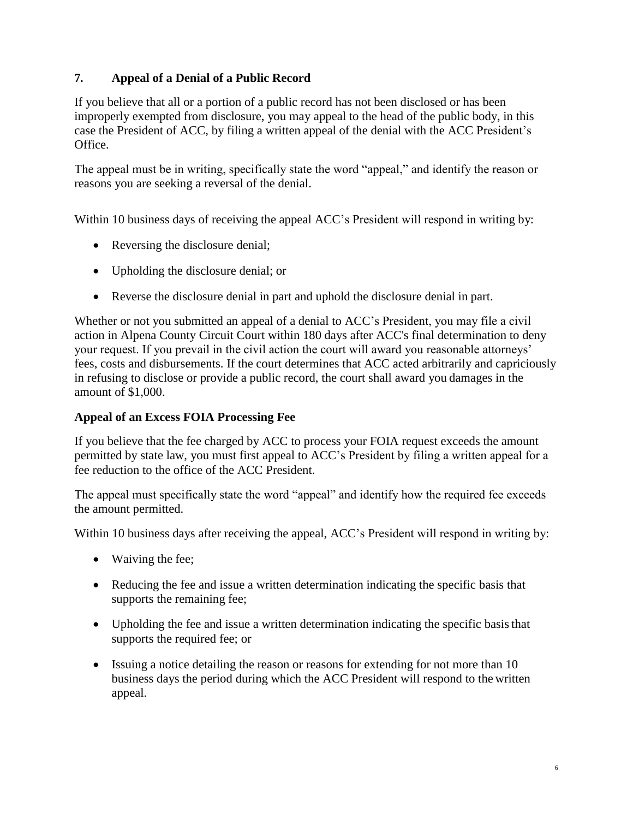### **7. Appeal of a Denial of a Public Record**

If you believe that all or a portion of a public record has not been disclosed or has been improperly exempted from disclosure, you may appeal to the head of the public body, in this case the President of ACC, by filing a written appeal of the denial with the ACC President's Office.

The appeal must be in writing, specifically state the word "appeal," and identify the reason or reasons you are seeking a reversal of the denial.

Within 10 business days of receiving the appeal ACC's President will respond in writing by:

- Reversing the disclosure denial:
- Upholding the disclosure denial; or
- Reverse the disclosure denial in part and uphold the disclosure denial in part.

Whether or not you submitted an appeal of a denial to ACC's President, you may file a civil action in Alpena County Circuit Court within 180 days after ACC's final determination to deny your request. If you prevail in the civil action the court will award you reasonable attorneys' fees, costs and disbursements. If the court determines that ACC acted arbitrarily and capriciously in refusing to disclose or provide a public record, the court shall award you damages in the amount of \$1,000.

### **Appeal of an Excess FOIA Processing Fee**

If you believe that the fee charged by ACC to process your FOIA request exceeds the amount permitted by state law, you must first appeal to ACC's President by filing a written appeal for a fee reduction to the office of the ACC President.

The appeal must specifically state the word "appeal" and identify how the required fee exceeds the amount permitted.

Within 10 business days after receiving the appeal, ACC's President will respond in writing by:

- Waiving the fee;
- Reducing the fee and issue a written determination indicating the specific basis that supports the remaining fee;
- Upholding the fee and issue a written determination indicating the specific basis that supports the required fee; or
- Issuing a notice detailing the reason or reasons for extending for not more than 10 business days the period during which the ACC President will respond to the written appeal.